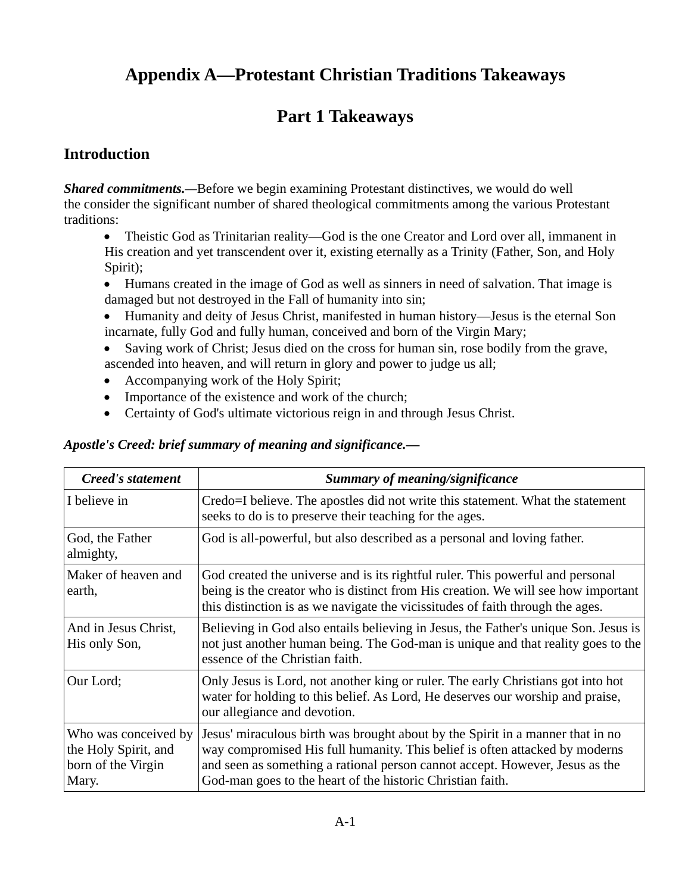# **Appendix A—Protestant Christian Traditions Takeaways**

# **Part 1 Takeaways**

# **Introduction**

*Shared commitments.—*Before we begin examining Protestant distinctives, we would do well the consider the significant number of shared theological commitments among the various Protestant traditions:

• Theistic God as Trinitarian reality—God is the one Creator and Lord over all, immanent in His creation and yet transcendent over it, existing eternally as a Trinity (Father, Son, and Holy Spirit);

- Humans created in the image of God as well as sinners in need of salvation. That image is damaged but not destroyed in the Fall of humanity into sin;
- Humanity and deity of Jesus Christ, manifested in human history—Jesus is the eternal Son incarnate, fully God and fully human, conceived and born of the Virgin Mary;
- Saving work of Christ; Jesus died on the cross for human sin, rose bodily from the grave, ascended into heaven, and will return in glory and power to judge us all;
- Accompanying work of the Holy Spirit;
- Importance of the existence and work of the church;
- Certainty of God's ultimate victorious reign in and through Jesus Christ.

#### *Apostle's Creed: brief summary of meaning and significance.—*

| Creed's statement                                                           | Summary of meaning/significance                                                                                                                                                                                                                                                                             |
|-----------------------------------------------------------------------------|-------------------------------------------------------------------------------------------------------------------------------------------------------------------------------------------------------------------------------------------------------------------------------------------------------------|
| I believe in                                                                | Credo=I believe. The apostles did not write this statement. What the statement<br>seeks to do is to preserve their teaching for the ages.                                                                                                                                                                   |
| God, the Father<br>almighty,                                                | God is all-powerful, but also described as a personal and loving father.                                                                                                                                                                                                                                    |
| Maker of heaven and<br>earth,                                               | God created the universe and is its rightful ruler. This powerful and personal<br>being is the creator who is distinct from His creation. We will see how important<br>this distinction is as we navigate the vicissitudes of faith through the ages.                                                       |
| And in Jesus Christ,<br>His only Son,                                       | Believing in God also entails believing in Jesus, the Father's unique Son. Jesus is<br>not just another human being. The God-man is unique and that reality goes to the<br>essence of the Christian faith.                                                                                                  |
| Our Lord;                                                                   | Only Jesus is Lord, not another king or ruler. The early Christians got into hot<br>water for holding to this belief. As Lord, He deserves our worship and praise,<br>our allegiance and devotion.                                                                                                          |
| Who was conceived by<br>the Holy Spirit, and<br>born of the Virgin<br>Mary. | Jesus' miraculous birth was brought about by the Spirit in a manner that in no<br>way compromised His full humanity. This belief is often attacked by moderns<br>and seen as something a rational person cannot accept. However, Jesus as the<br>God-man goes to the heart of the historic Christian faith. |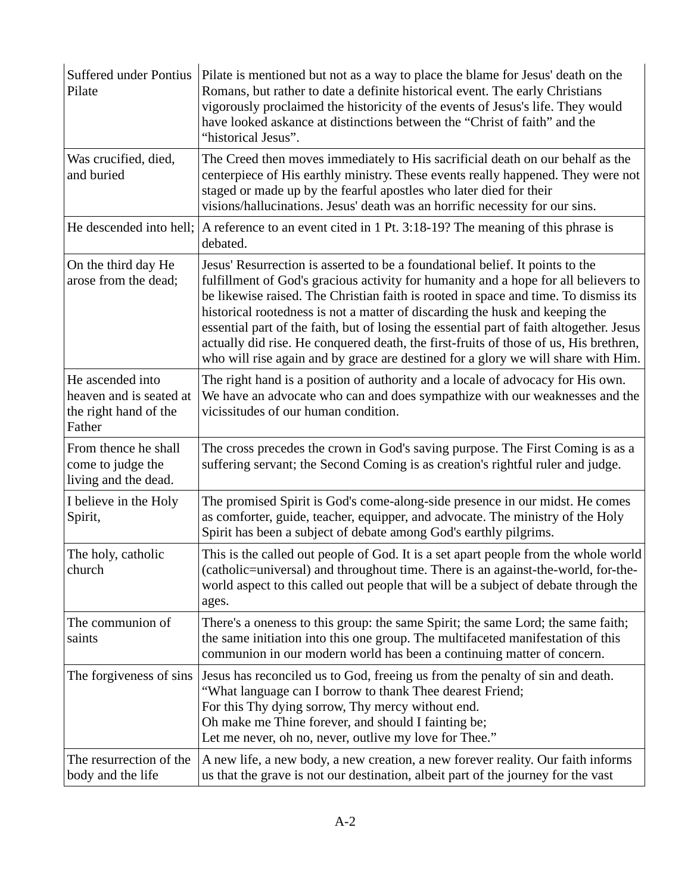| <b>Suffered under Pontius</b><br>Pilate                                        | Pilate is mentioned but not as a way to place the blame for Jesus' death on the<br>Romans, but rather to date a definite historical event. The early Christians<br>vigorously proclaimed the historicity of the events of Jesus's life. They would<br>have looked askance at distinctions between the "Christ of faith" and the<br>"historical Jesus".                                                                                                                                                                                                                                                                |
|--------------------------------------------------------------------------------|-----------------------------------------------------------------------------------------------------------------------------------------------------------------------------------------------------------------------------------------------------------------------------------------------------------------------------------------------------------------------------------------------------------------------------------------------------------------------------------------------------------------------------------------------------------------------------------------------------------------------|
| Was crucified, died,<br>and buried                                             | The Creed then moves immediately to His sacrificial death on our behalf as the<br>centerpiece of His earthly ministry. These events really happened. They were not<br>staged or made up by the fearful apostles who later died for their<br>visions/hallucinations. Jesus' death was an horrific necessity for our sins.                                                                                                                                                                                                                                                                                              |
|                                                                                | He descended into hell; $\vert$ A reference to an event cited in 1 Pt. 3:18-19? The meaning of this phrase is<br>debated.                                                                                                                                                                                                                                                                                                                                                                                                                                                                                             |
| On the third day He<br>arose from the dead;                                    | Jesus' Resurrection is asserted to be a foundational belief. It points to the<br>fulfillment of God's gracious activity for humanity and a hope for all believers to<br>be likewise raised. The Christian faith is rooted in space and time. To dismiss its<br>historical rootedness is not a matter of discarding the husk and keeping the<br>essential part of the faith, but of losing the essential part of faith altogether. Jesus<br>actually did rise. He conquered death, the first-fruits of those of us, His brethren,<br>who will rise again and by grace are destined for a glory we will share with Him. |
| He ascended into<br>heaven and is seated at<br>the right hand of the<br>Father | The right hand is a position of authority and a locale of advocacy for His own.<br>We have an advocate who can and does sympathize with our weaknesses and the<br>vicissitudes of our human condition.                                                                                                                                                                                                                                                                                                                                                                                                                |
| From thence he shall<br>come to judge the<br>living and the dead.              | The cross precedes the crown in God's saving purpose. The First Coming is as a<br>suffering servant; the Second Coming is as creation's rightful ruler and judge.                                                                                                                                                                                                                                                                                                                                                                                                                                                     |
| I believe in the Holy<br>Spirit,                                               | The promised Spirit is God's come-along-side presence in our midst. He comes<br>as comforter, guide, teacher, equipper, and advocate. The ministry of the Holy<br>Spirit has been a subject of debate among God's earthly pilgrims.                                                                                                                                                                                                                                                                                                                                                                                   |
| The holy, catholic<br>church                                                   | This is the called out people of God. It is a set apart people from the whole world<br>(catholic=universal) and throughout time. There is an against-the-world, for-the-<br>world aspect to this called out people that will be a subject of debate through the<br>ages.                                                                                                                                                                                                                                                                                                                                              |
| The communion of<br>saints                                                     | There's a oneness to this group: the same Spirit; the same Lord; the same faith;<br>the same initiation into this one group. The multifaceted manifestation of this<br>communion in our modern world has been a continuing matter of concern.                                                                                                                                                                                                                                                                                                                                                                         |
| The forgiveness of sins                                                        | Jesus has reconciled us to God, freeing us from the penalty of sin and death.<br>"What language can I borrow to thank Thee dearest Friend;<br>For this Thy dying sorrow, Thy mercy without end.<br>Oh make me Thine forever, and should I fainting be;<br>Let me never, oh no, never, outlive my love for Thee."                                                                                                                                                                                                                                                                                                      |
| The resurrection of the<br>body and the life                                   | A new life, a new body, a new creation, a new forever reality. Our faith informs<br>us that the grave is not our destination, albeit part of the journey for the vast                                                                                                                                                                                                                                                                                                                                                                                                                                                 |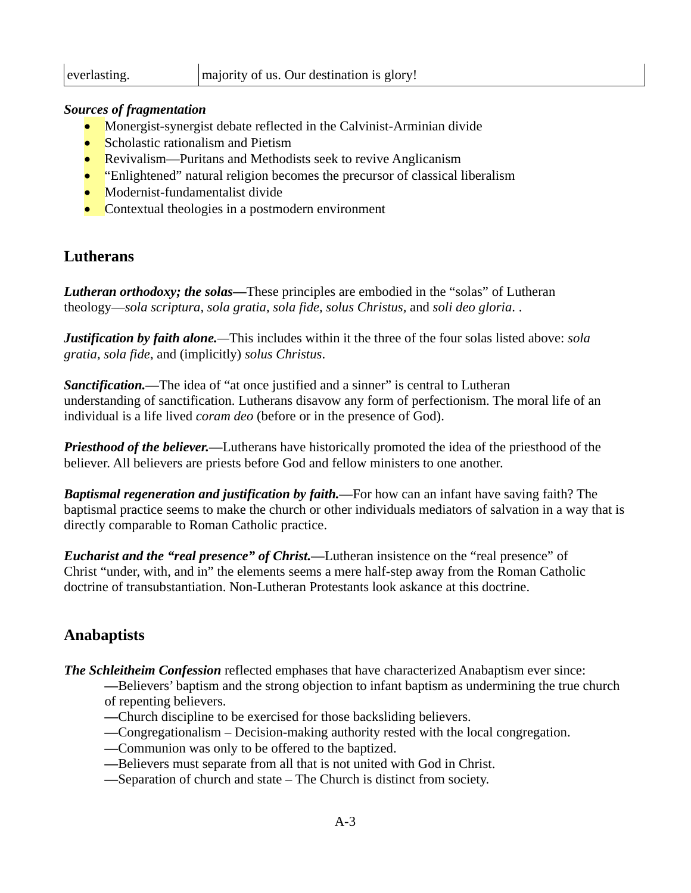#### *Sources of fragmentation*

- Monergist-synergist debate reflected in the Calvinist-Arminian divide
- Scholastic rationalism and Pietism
- Revivalism—Puritans and Methodists seek to revive Anglicanism
- "Enlightened" natural religion becomes the precursor of classical liberalism
- Modernist-fundamentalist divide
- Contextual theologies in a postmodern environment

### **Lutherans**

**Lutheran orthodoxy; the solas—These principles are embodied in the "solas" of Lutheran** theology—*sola scriptura, sola gratia, sola fide, solus Christus,* and *soli deo gloria*. .

*Justification by faith alone.—*This includes within it the three of the four solas listed above: *sola gratia, sola fide*, and (implicitly) *solus Christus*.

*Sanctification.*—The idea of "at once justified and a sinner" is central to Lutheran understanding of sanctification. Lutherans disavow any form of perfectionism. The moral life of an individual is a life lived *coram deo* (before or in the presence of God).

*Priesthood of the believer.*—Lutherans have historically promoted the idea of the priesthood of the believer. All believers are priests before God and fellow ministers to one another.

*Baptismal regeneration and justification by faith.—*For how can an infant have saving faith? The baptismal practice seems to make the church or other individuals mediators of salvation in a way that is directly comparable to Roman Catholic practice.

*Eucharist and the "real presence" of Christ.—*Lutheran insistence on the "real presence" of Christ "under, with, and in" the elements seems a mere half-step away from the Roman Catholic doctrine of transubstantiation. Non-Lutheran Protestants look askance at this doctrine.

## **Anabaptists**

*The Schleitheim Confession* reflected emphases that have characterized Anabaptism ever since:

*—*Believers' baptism and the strong objection to infant baptism as undermining the true church of repenting believers.

- *—*Church discipline to be exercised for those backsliding believers.
- *—*Congregationalism Decision-making authority rested with the local congregation.
- *—*Communion was only to be offered to the baptized.
- *—*Believers must separate from all that is not united with God in Christ.
- *—*Separation of church and state The Church is distinct from society.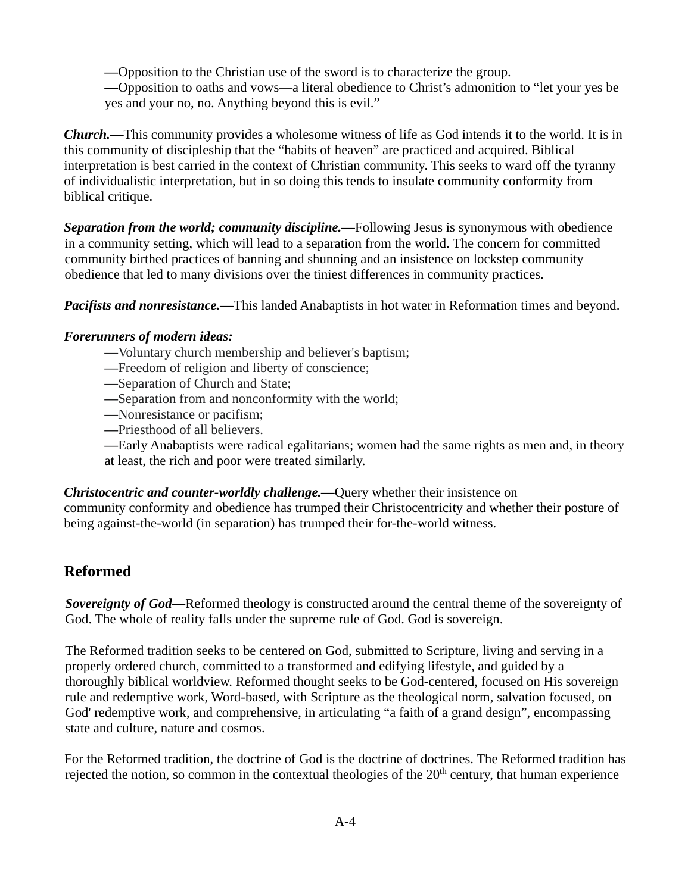*—*Opposition to the Christian use of the sword is to characterize the group.

*—*Opposition to oaths and vows—a literal obedience to Christ's admonition to "let your yes be yes and your no, no. Anything beyond this is evil."

*Church.—*This community provides a wholesome witness of life as God intends it to the world. It is in this community of discipleship that the "habits of heaven" are practiced and acquired. Biblical interpretation is best carried in the context of Christian community. This seeks to ward off the tyranny of individualistic interpretation, but in so doing this tends to insulate community conformity from biblical critique.

*Separation from the world; community discipline.—*Following Jesus is synonymous with obedience in a community setting, which will lead to a separation from the world. The concern for committed community birthed practices of banning and shunning and an insistence on lockstep community obedience that led to many divisions over the tiniest differences in community practices.

*Pacifists and nonresistance*.—This landed Anabaptists in hot water in Reformation times and beyond.

#### *Forerunners of modern ideas:*

- *—*Voluntary church membership and believer's baptism;
- *—*Freedom of religion and liberty of conscience;
- *—*Separation of Church and State;
- *—*Separation from and nonconformity with the world;
- *—*Nonresistance or pacifism;
- *—*Priesthood of all believers.

*—*Early Anabaptists were radical egalitarians; women had the same rights as men and, in theory at least, the rich and poor were treated similarly.

*Christocentric and counter-worldly challenge.—*Query whether their insistence on community conformity and obedience has trumped their Christocentricity and whether their posture of being against-the-world (in separation) has trumped their for-the-world witness.

## **Reformed**

*Sovereignty of God*—Reformed theology is constructed around the central theme of the sovereignty of God. The whole of reality falls under the supreme rule of God. God is sovereign.

The Reformed tradition seeks to be centered on God, submitted to Scripture, living and serving in a properly ordered church, committed to a transformed and edifying lifestyle, and guided by a thoroughly biblical worldview. Reformed thought seeks to be God-centered, focused on His sovereign rule and redemptive work, Word-based, with Scripture as the theological norm, salvation focused, on God' redemptive work, and comprehensive, in articulating "a faith of a grand design", encompassing state and culture, nature and cosmos.

For the Reformed tradition, the doctrine of God is the doctrine of doctrines. The Reformed tradition has rejected the notion, so common in the contextual theologies of the  $20<sup>th</sup>$  century, that human experience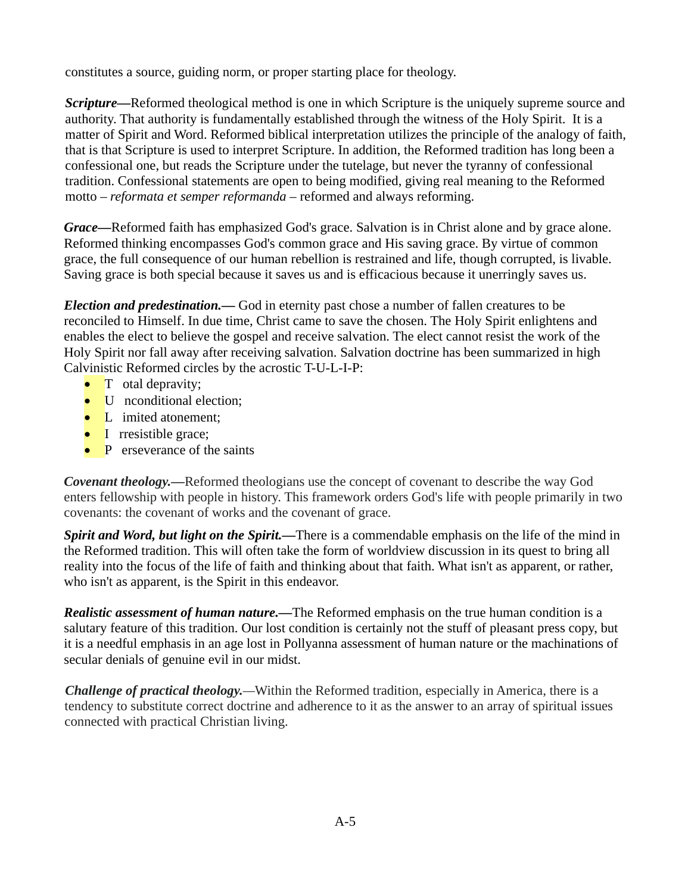constitutes a source, guiding norm, or proper starting place for theology.

*Scripture*—Reformed theological method is one in which Scripture is the uniquely supreme source and authority. That authority is fundamentally established through the witness of the Holy Spirit. It is a matter of Spirit and Word. Reformed biblical interpretation utilizes the principle of the analogy of faith, that is that Scripture is used to interpret Scripture. In addition, the Reformed tradition has long been a confessional one, but reads the Scripture under the tutelage, but never the tyranny of confessional tradition. Confessional statements are open to being modified, giving real meaning to the Reformed motto – *reformata et semper reformanda* – reformed and always reforming.

*Grace—*Reformed faith has emphasized God's grace. Salvation is in Christ alone and by grace alone. Reformed thinking encompasses God's common grace and His saving grace. By virtue of common grace, the full consequence of our human rebellion is restrained and life, though corrupted, is livable. Saving grace is both special because it saves us and is efficacious because it unerringly saves us.

*Election and predestination.—* God in eternity past chose a number of fallen creatures to be reconciled to Himself. In due time, Christ came to save the chosen. The Holy Spirit enlightens and enables the elect to believe the gospel and receive salvation. The elect cannot resist the work of the Holy Spirit nor fall away after receiving salvation. Salvation doctrine has been summarized in high Calvinistic Reformed circles by the acrostic T-U-L-I-P:

- T otal depravity;
- U nconditional election:
- L imited atonement;
- I rresistible grace;
- P erseverance of the saints

*Covenant theology.—*Reformed theologians use the concept of covenant to describe the way God enters fellowship with people in history. This framework orders God's life with people primarily in two covenants: the covenant of works and the covenant of grace.

*Spirit and Word, but light on the Spirit.*—There is a commendable emphasis on the life of the mind in the Reformed tradition. This will often take the form of worldview discussion in its quest to bring all reality into the focus of the life of faith and thinking about that faith. What isn't as apparent, or rather, who isn't as apparent, is the Spirit in this endeavor.

*Realistic assessment of human nature.—*The Reformed emphasis on the true human condition is a salutary feature of this tradition. Our lost condition is certainly not the stuff of pleasant press copy, but it is a needful emphasis in an age lost in Pollyanna assessment of human nature or the machinations of secular denials of genuine evil in our midst.

*Challenge of practical theology.—*Within the Reformed tradition, especially in America, there is a tendency to substitute correct doctrine and adherence to it as the answer to an array of spiritual issues connected with practical Christian living.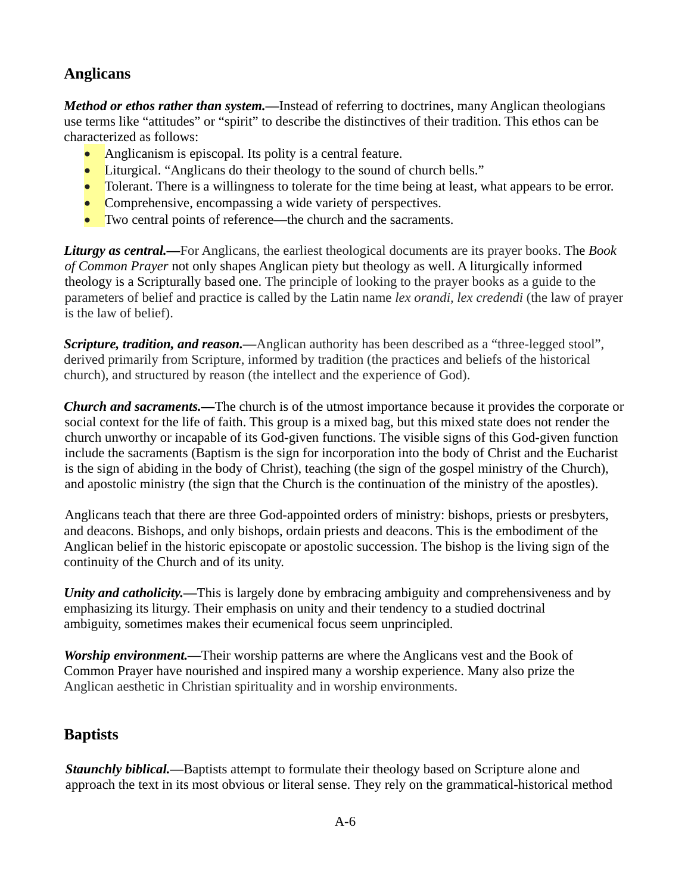## **Anglicans**

*Method or ethos rather than system.*—Instead of referring to doctrines, many Anglican theologians use terms like "attitudes" or "spirit" to describe the distinctives of their tradition. This ethos can be characterized as follows:

- Anglicanism is episcopal. Its polity is a central feature.
- Liturgical. "Anglicans do their theology to the sound of church bells."
- Tolerant. There is a willingness to tolerate for the time being at least, what appears to be error.
- Comprehensive, encompassing a wide variety of perspectives.
- Two central points of reference—the church and the sacraments.

*Liturgy as central.—*For Anglicans, the earliest theological documents are its prayer books. The *Book of Common Prayer* not only shapes Anglican piety but theology as well. A liturgically informed theology is a Scripturally based one. The principle of looking to the prayer books as a guide to the parameters of belief and practice is called by the Latin name *lex orandi, lex credendi* (the law of prayer is the law of belief).

*Scripture, tradition, and reason.*—Anglican authority has been described as a "three-legged stool", derived primarily from Scripture, informed by tradition (the practices and beliefs of the historical church), and structured by reason (the intellect and the experience of God).

*Church and sacraments.—*The church is of the utmost importance because it provides the corporate or social context for the life of faith. This group is a mixed bag, but this mixed state does not render the church unworthy or incapable of its God-given functions. The visible signs of this God-given function include the sacraments (Baptism is the sign for incorporation into the body of Christ and the Eucharist is the sign of abiding in the body of Christ), teaching (the sign of the gospel ministry of the Church), and apostolic ministry (the sign that the Church is the continuation of the ministry of the apostles).

Anglicans teach that there are three God-appointed orders of ministry: bishops, priests or presbyters, and deacons. Bishops, and only bishops, ordain priests and deacons. This is the embodiment of the Anglican belief in the historic episcopate or apostolic succession. The bishop is the living sign of the continuity of the Church and of its unity.

*Unity and catholicity*.—This is largely done by embracing ambiguity and comprehensiveness and by emphasizing its liturgy. Their emphasis on unity and their tendency to a studied doctrinal ambiguity, sometimes makes their ecumenical focus seem unprincipled.

*Worship environment.*—Their worship patterns are where the Anglicans vest and the Book of Common Prayer have nourished and inspired many a worship experience. Many also prize the Anglican aesthetic in Christian spirituality and in worship environments.

## **Baptists**

*Staunchly biblical.*—Baptists attempt to formulate their theology based on Scripture alone and approach the text in its most obvious or literal sense. They rely on the grammatical-historical method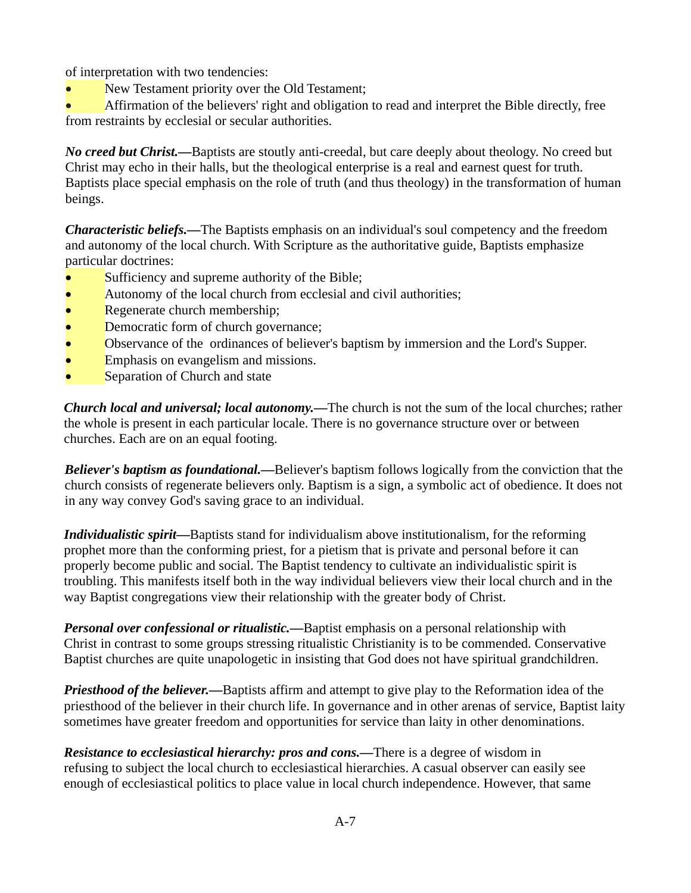of interpretation with two tendencies:

New Testament priority over the Old Testament;

• Affirmation of the believers' right and obligation to read and interpret the Bible directly, free from restraints by ecclesial or secular authorities.

*No creed but Christ.*—Baptists are stoutly anti-creedal, but care deeply about theology. No creed but Christ may echo in their halls, but the theological enterprise is a real and earnest quest for truth. Baptists place special emphasis on the role of truth (and thus theology) in the transformation of human beings.

*Characteristic beliefs.—*The Baptists emphasis on an individual's soul competency and the freedom and autonomy of the local church. With Scripture as the authoritative guide, Baptists emphasize particular doctrines:

- Sufficiency and supreme authority of the Bible;
- Autonomy of the local church from ecclesial and civil authorities;
- Regenerate church membership;
- Democratic form of church governance;
- Observance of the ordinances of believer's baptism by immersion and the Lord's Supper.
- Emphasis on evangelism and missions.
- Separation of Church and state

*Church local and universal; local autonomy.—*The church is not the sum of the local churches; rather the whole is present in each particular locale. There is no governance structure over or between churches. Each are on an equal footing.

*Believer's baptism as foundational.—*Believer's baptism follows logically from the conviction that the church consists of regenerate believers only. Baptism is a sign, a symbolic act of obedience. It does not in any way convey God's saving grace to an individual.

*Individualistic spirit—*Baptists stand for individualism above institutionalism, for the reforming prophet more than the conforming priest, for a pietism that is private and personal before it can properly become public and social. The Baptist tendency to cultivate an individualistic spirit is troubling. This manifests itself both in the way individual believers view their local church and in the way Baptist congregations view their relationship with the greater body of Christ.

*Personal over confessional or ritualistic.*—Baptist emphasis on a personal relationship with Christ in contrast to some groups stressing ritualistic Christianity is to be commended. Conservative Baptist churches are quite unapologetic in insisting that God does not have spiritual grandchildren.

*Priesthood of the believer.*—Baptists affirm and attempt to give play to the Reformation idea of the priesthood of the believer in their church life. In governance and in other arenas of service, Baptist laity sometimes have greater freedom and opportunities for service than laity in other denominations.

*Resistance to ecclesiastical hierarchy: pros and cons.—*There is a degree of wisdom in refusing to subject the local church to ecclesiastical hierarchies. A casual observer can easily see enough of ecclesiastical politics to place value in local church independence. However, that same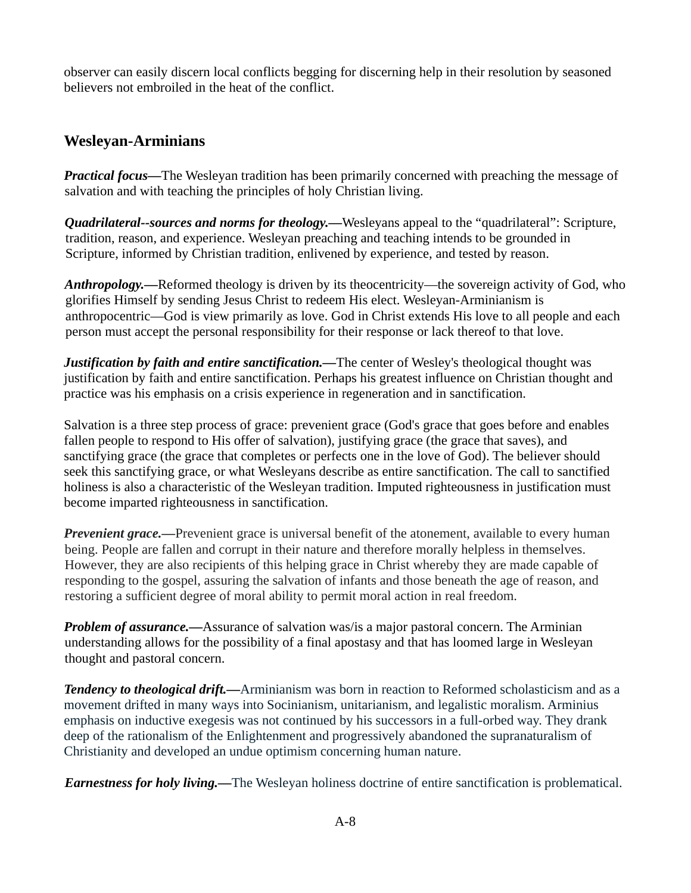observer can easily discern local conflicts begging for discerning help in their resolution by seasoned believers not embroiled in the heat of the conflict.

### **Wesleyan-Arminians**

*Practical focus—*The Wesleyan tradition has been primarily concerned with preaching the message of salvation and with teaching the principles of holy Christian living.

*Quadrilateral--sources and norms for theology.—*Wesleyans appeal to the "quadrilateral": Scripture, tradition, reason, and experience. Wesleyan preaching and teaching intends to be grounded in Scripture, informed by Christian tradition, enlivened by experience, and tested by reason.

*Anthropology.*—Reformed theology is driven by its theocentricity—the sovereign activity of God, who glorifies Himself by sending Jesus Christ to redeem His elect. Wesleyan-Arminianism is anthropocentric—God is view primarily as love. God in Christ extends His love to all people and each person must accept the personal responsibility for their response or lack thereof to that love.

*Justification by faith and entire sanctification.*—The center of Wesley's theological thought was justification by faith and entire sanctification. Perhaps his greatest influence on Christian thought and practice was his emphasis on a crisis experience in regeneration and in sanctification.

Salvation is a three step process of grace: prevenient grace (God's grace that goes before and enables fallen people to respond to His offer of salvation), justifying grace (the grace that saves), and sanctifying grace (the grace that completes or perfects one in the love of God). The believer should seek this sanctifying grace, or what Wesleyans describe as entire sanctification. The call to sanctified holiness is also a characteristic of the Wesleyan tradition. Imputed righteousness in justification must become imparted righteousness in sanctification.

*Prevenient grace.*—Prevenient grace is universal benefit of the atonement, available to every human being. People are fallen and corrupt in their nature and therefore morally helpless in themselves. However, they are also recipients of this helping grace in Christ whereby they are made capable of responding to the gospel, assuring the salvation of infants and those beneath the age of reason, and restoring a sufficient degree of moral ability to permit moral action in real freedom.

*Problem of assurance*.—Assurance of salvation was/is a major pastoral concern. The Arminian understanding allows for the possibility of a final apostasy and that has loomed large in Wesleyan thought and pastoral concern.

*Tendency to theological drift.—*Arminianism was born in reaction to Reformed scholasticism and as a movement drifted in many ways into Socinianism, unitarianism, and legalistic moralism. Arminius emphasis on inductive exegesis was not continued by his successors in a full-orbed way. They drank deep of the rationalism of the Enlightenment and progressively abandoned the supranaturalism of Christianity and developed an undue optimism concerning human nature.

*Earnestness for holy living.—*The Wesleyan holiness doctrine of entire sanctification is problematical.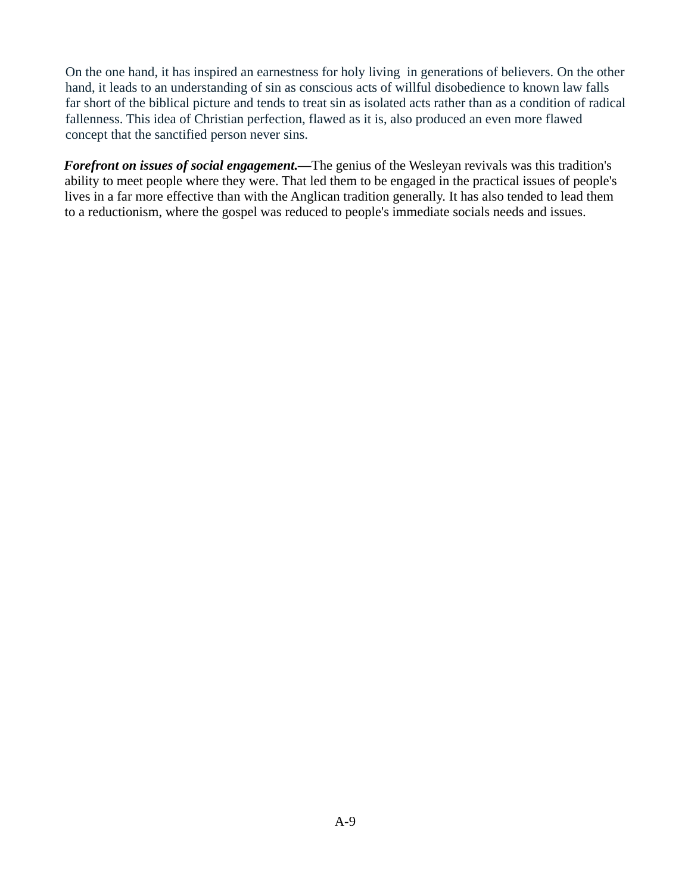On the one hand, it has inspired an earnestness for holy living in generations of believers. On the other hand, it leads to an understanding of sin as conscious acts of willful disobedience to known law falls far short of the biblical picture and tends to treat sin as isolated acts rather than as a condition of radical fallenness. This idea of Christian perfection, flawed as it is, also produced an even more flawed concept that the sanctified person never sins.

*Forefront on issues of social engagement*.—The genius of the Wesleyan revivals was this tradition's ability to meet people where they were. That led them to be engaged in the practical issues of people's lives in a far more effective than with the Anglican tradition generally. It has also tended to lead them to a reductionism, where the gospel was reduced to people's immediate socials needs and issues.